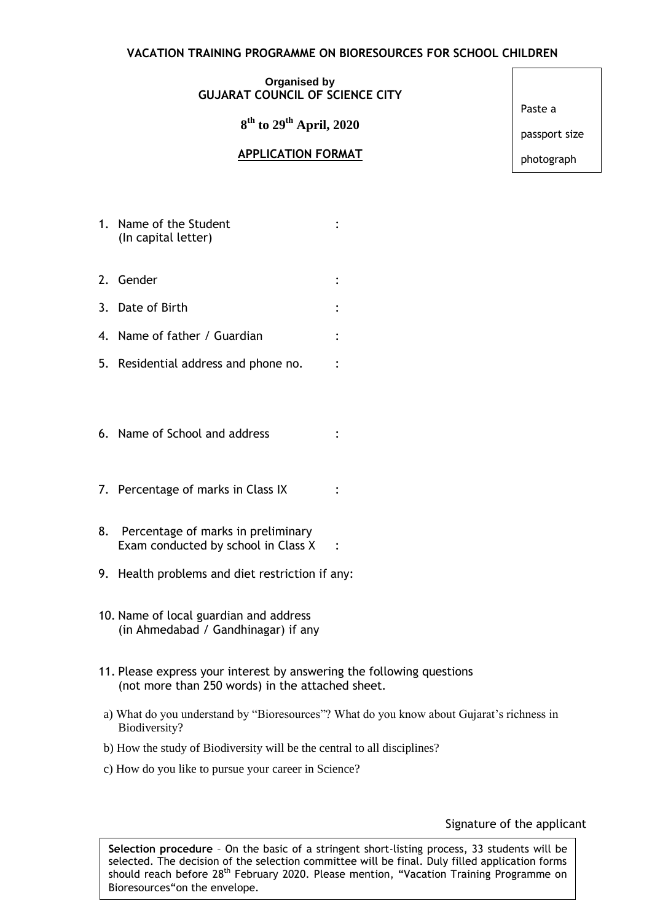## **VACATION TRAINING PROGRAMME ON BIORESOURCES FOR SCHOOL CHILDREN**

## **Organised by GUJARAT COUNCIL OF SCIENCE CITY**

**8 th to 29th April, 2020**

## **APPLICATION FORMAT**

Paste a

passport size

photograph

- 1. Name of the Student : the student is the student in the student in the student in the student in the studen (In capital letter)
- 2. Gender :
- 3. Date of Birth :
- 4. Name of father / Guardian :
- 5. Residential address and phone no. :
- 6. Name of School and address :
- 7. Percentage of marks in Class IX
- 8. Percentage of marks in preliminary Exam conducted by school in Class X :  $\ddot{\cdot}$
- 9. Health problems and diet restriction if any:
- 10. Name of local guardian and address (in Ahmedabad / Gandhinagar) if any
- 11. Please express your interest by answering the following questions (not more than 250 words) in the attached sheet.
- a) What do you understand by "Bioresources"? What do you know about Gujarat's richness in Biodiversity?

 $\ddot{\cdot}$ 

- b) How the study of Biodiversity will be the central to all disciplines?
- c) How do you like to pursue your career in Science?

## Signature of the applicant

**Selection procedure** – On the basic of a stringent short-listing process, 33 students will be selected. The decision of the selection committee will be final. Duly filled application forms should reach before 28<sup>th</sup> February 2020. Please mention, "Vacation Training Programme on Bioresources"on the envelope.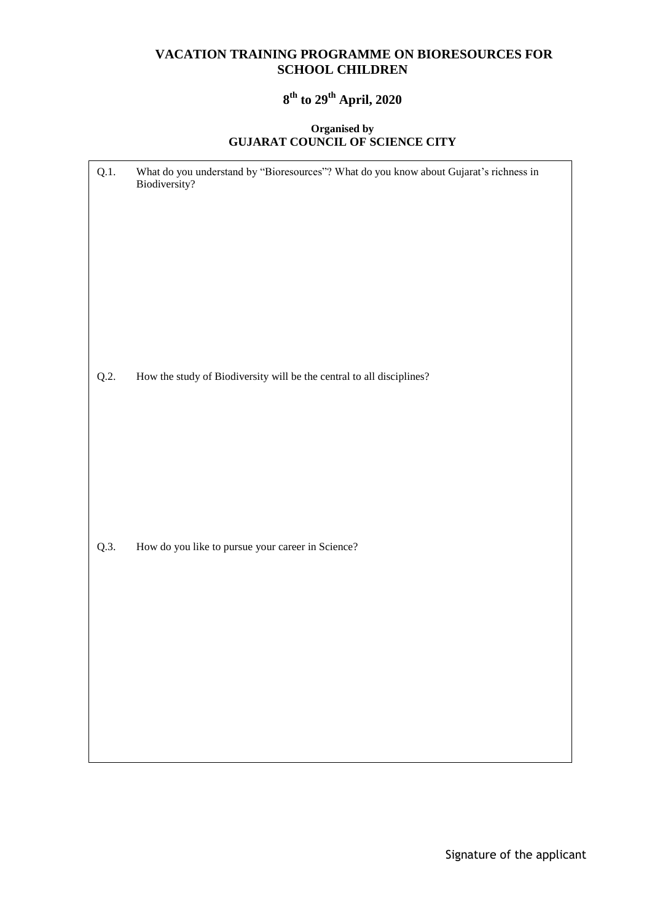# **VACATION TRAINING PROGRAMME ON BIORESOURCES FOR SCHOOL CHILDREN**

# **8 th to 29th April, 2020**

#### **Organised by GUJARAT COUNCIL OF SCIENCE CITY**

| Q.1. | What do you understand by "Bioresources"? What do you know about Gujarat's richness in<br>Biodiversity? |
|------|---------------------------------------------------------------------------------------------------------|
|      |                                                                                                         |
| Q.2. | How the study of Biodiversity will be the central to all disciplines?                                   |
|      |                                                                                                         |
|      |                                                                                                         |
|      |                                                                                                         |
|      |                                                                                                         |
|      |                                                                                                         |
| Q.3. | How do you like to pursue your career in Science?                                                       |
|      |                                                                                                         |
|      |                                                                                                         |
|      |                                                                                                         |
|      |                                                                                                         |
|      |                                                                                                         |
|      |                                                                                                         |
|      |                                                                                                         |
|      |                                                                                                         |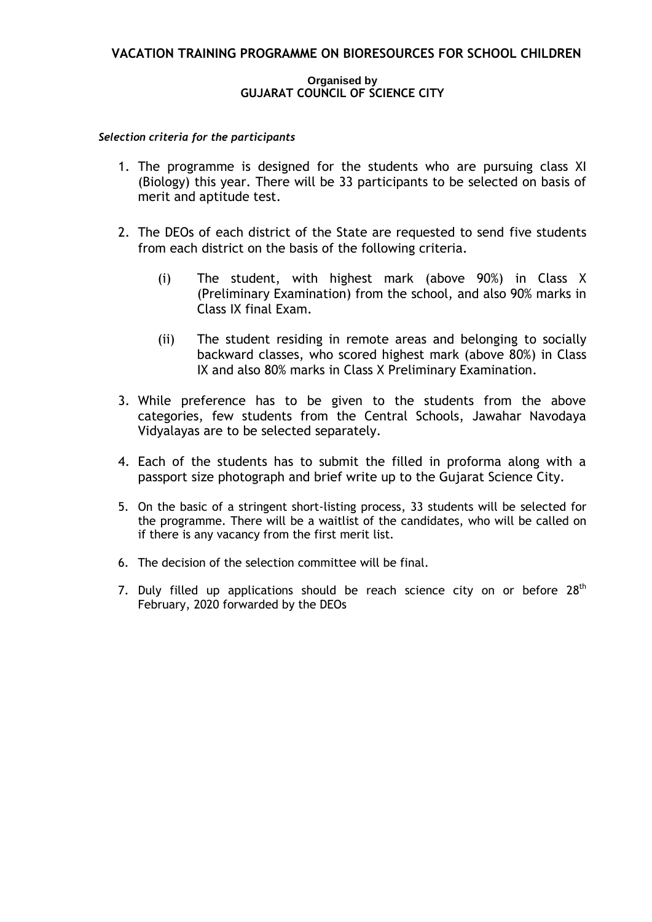# **VACATION TRAINING PROGRAMME ON BIORESOURCES FOR SCHOOL CHILDREN**

#### **Organised by GUJARAT COUNCIL OF SCIENCE CITY**

#### *Selection criteria for the participants*

- 1. The programme is designed for the students who are pursuing class XI (Biology) this year. There will be 33 participants to be selected on basis of merit and aptitude test.
- 2. The DEOs of each district of the State are requested to send five students from each district on the basis of the following criteria.
	- (i) The student, with highest mark (above 90%) in Class X (Preliminary Examination) from the school, and also 90% marks in Class IX final Exam.
	- (ii) The student residing in remote areas and belonging to socially backward classes, who scored highest mark (above 80%) in Class IX and also 80% marks in Class X Preliminary Examination.
- 3. While preference has to be given to the students from the above categories, few students from the Central Schools, Jawahar Navodaya Vidyalayas are to be selected separately.
- 4. Each of the students has to submit the filled in proforma along with a passport size photograph and brief write up to the Gujarat Science City.
- 5. On the basic of a stringent short-listing process, 33 students will be selected for the programme. There will be a waitlist of the candidates, who will be called on if there is any vacancy from the first merit list.
- 6. The decision of the selection committee will be final.
- 7. Duly filled up applications should be reach science city on or before  $28<sup>th</sup>$ February, 2020 forwarded by the DEOs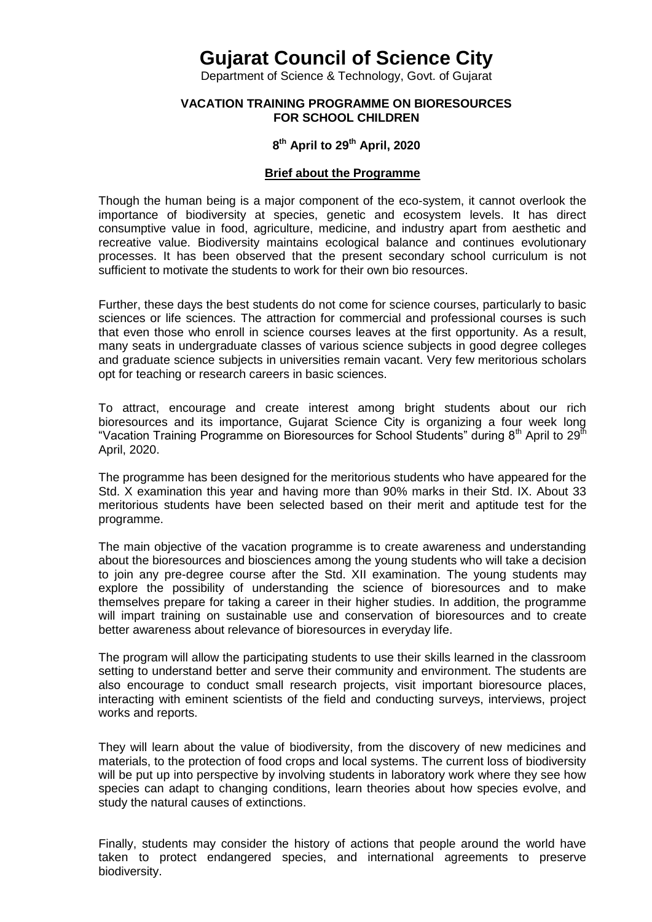# **Gujarat Council of Science City**

Department of Science & Technology, Govt. of Gujarat

#### **VACATION TRAINING PROGRAMME ON BIORESOURCES FOR SCHOOL CHILDREN**

# **8 th April to 29th April, 2020**

#### **Brief about the Programme**

Though the human being is a major component of the eco-system, it cannot overlook the importance of biodiversity at species, genetic and ecosystem levels. It has direct consumptive value in food, agriculture, medicine, and industry apart from aesthetic and recreative value. Biodiversity maintains ecological balance and continues evolutionary processes. It has been observed that the present secondary school curriculum is not sufficient to motivate the students to work for their own bio resources.

Further, these days the best students do not come for science courses, particularly to basic sciences or life sciences. The attraction for commercial and professional courses is such that even those who enroll in science courses leaves at the first opportunity. As a result, many seats in undergraduate classes of various science subjects in good degree colleges and graduate science subjects in universities remain vacant. Very few meritorious scholars opt for teaching or research careers in basic sciences.

To attract, encourage and create interest among bright students about our rich bioresources and its importance, Gujarat Science City is organizing a four week long "Vacation Training Programme on Bioresources for School Students" during  $8<sup>th</sup>$  April to 29 $<sup>th</sup>$ </sup> April, 2020.

The programme has been designed for the meritorious students who have appeared for the Std. X examination this year and having more than 90% marks in their Std. IX. About 33 meritorious students have been selected based on their merit and aptitude test for the programme.

The main objective of the vacation programme is to create awareness and understanding about the bioresources and biosciences among the young students who will take a decision to join any pre-degree course after the Std. XII examination. The young students may explore the possibility of understanding the science of bioresources and to make themselves prepare for taking a career in their higher studies. In addition, the programme will impart training on sustainable use and conservation of bioresources and to create better awareness about relevance of bioresources in everyday life.

The program will allow the participating students to use their skills learned in the classroom setting to understand better and serve their community and environment. The students are also encourage to conduct small research projects, visit important bioresource places, interacting with eminent scientists of the field and conducting surveys, interviews, project works and reports.

They will learn about the value of biodiversity, from the discovery of new medicines and materials, to the protection of food crops and local systems. The current loss of biodiversity will be put up into perspective by involving students in laboratory work where they see how species can adapt to changing conditions, learn theories about how species evolve, and study the natural causes of extinctions.

Finally, students may consider the history of actions that people around the world have taken to protect endangered species, and international agreements to preserve biodiversity.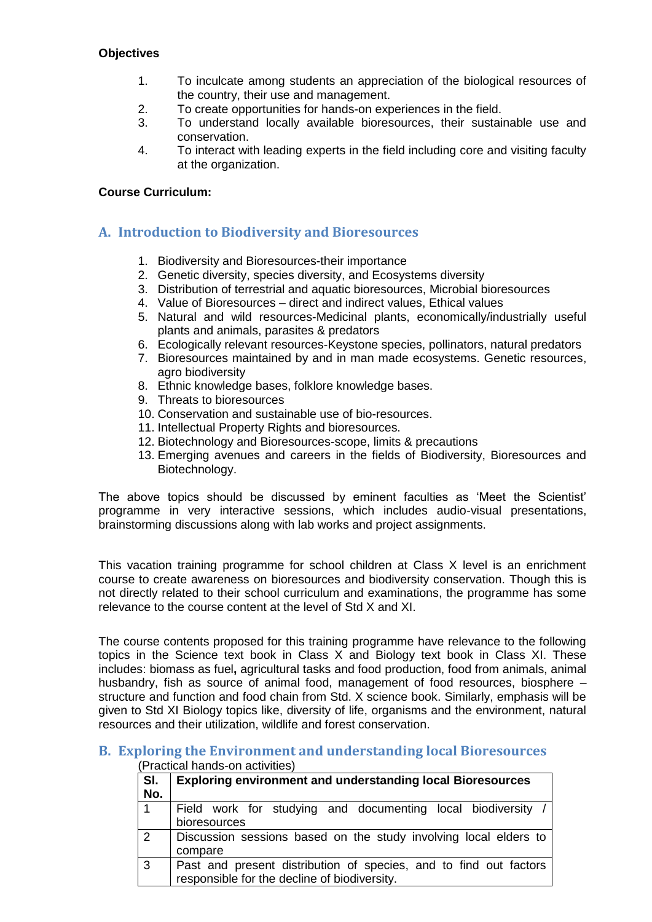# **Objectives**

- 1. To inculcate among students an appreciation of the biological resources of the country, their use and management.
- 2. To create opportunities for hands-on experiences in the field.
- 3. To understand locally available bioresources, their sustainable use and conservation.
- 4. To interact with leading experts in the field including core and visiting faculty at the organization.

## **Course Curriculum:**

# **A. Introduction to Biodiversity and Bioresources**

- 1. Biodiversity and Bioresources-their importance
- 2. Genetic diversity, species diversity, and Ecosystems diversity
- 3. Distribution of terrestrial and aquatic bioresources, Microbial bioresources
- 4. Value of Bioresources direct and indirect values, Ethical values
- 5. Natural and wild resources-Medicinal plants, economically/industrially useful plants and animals, parasites & predators
- 6. Ecologically relevant resources-Keystone species, pollinators, natural predators
- 7. Bioresources maintained by and in man made ecosystems. Genetic resources, agro biodiversity
- 8. Ethnic knowledge bases, folklore knowledge bases.
- 9. Threats to bioresources
- 10. Conservation and sustainable use of bio-resources.
- 11. Intellectual Property Rights and bioresources.
- 12. Biotechnology and Bioresources-scope, limits & precautions
- 13. Emerging avenues and careers in the fields of Biodiversity, Bioresources and Biotechnology.

The above topics should be discussed by eminent faculties as 'Meet the Scientist' programme in very interactive sessions, which includes audio-visual presentations, brainstorming discussions along with lab works and project assignments.

This vacation training programme for school children at Class X level is an enrichment course to create awareness on bioresources and biodiversity conservation. Though this is not directly related to their school curriculum and examinations, the programme has some relevance to the course content at the level of Std X and XI.

The course contents proposed for this training programme have relevance to the following topics in the Science text book in Class X and Biology text book in Class XI. These includes: biomass as fuel**,** agricultural tasks and food production, food from animals, animal husbandry, fish as source of animal food, management of food resources, biosphere – structure and function and food chain from Std. X science book. Similarly, emphasis will be given to Std XI Biology topics like, diversity of life, organisms and the environment, natural resources and their utilization, wildlife and forest conservation.

#### **B. Exploring the Environment and understanding local Bioresources** (Practical hands-on activities)

| SI.<br>No.                 | <b>Exploring environment and understanding local Bioresources</b>                                                 |
|----------------------------|-------------------------------------------------------------------------------------------------------------------|
| 11                         | Field work for studying and documenting local biodiversity /<br>bioresources                                      |
| $\overline{2}$             | Discussion sessions based on the study involving local elders to<br>compare                                       |
| $\overline{\phantom{a}}$ 3 | Past and present distribution of species, and to find out factors<br>responsible for the decline of biodiversity. |